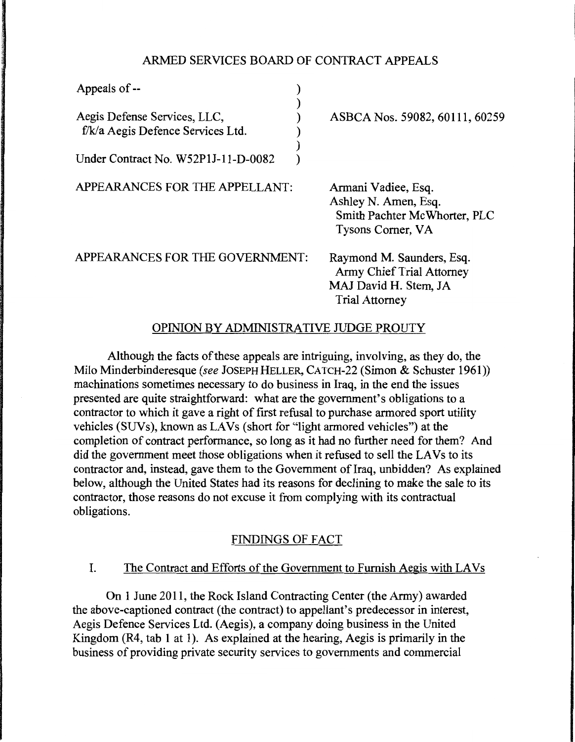### ARMED SERVICES BOARD OF CONTRACT APPEALS

| Appeals of --                       |  |
|-------------------------------------|--|
|                                     |  |
| Aegis Defense Services, LLC,        |  |
| f/k/a Aegis Defence Services Ltd.   |  |
|                                     |  |
| Under Contract No. W52P1J-11-D-0082 |  |

APPEARANCES FOR THE APPELLANT:

ASBCA Nos. 59082, 60111, 60259

Armani Vadiee, Esq. Ashley N. Amen, Esq. Smith Pachter Mc Whorter, PLC Tysons Comer, VA

APPEARANCES FOR THE GOVERNMENT:

Raymond M. Saunders, Esq. Army Chief Trial Attorney MAJ David H. Stem, JA Trial Attorney

# OPINION BY ADMINISTRATIVE JUDGE PROUTY

Although the facts of these appeals are intriguing, involving, as they do, the Milo Minderbinderesque (see JOSEPH HELLER, CATCH-22 (Simon & Schuster 1961)) machinations sometimes necessary to do business in Iraq, in the end the issues presented are quite straightforward: what are the government's obligations to a contractor to which it gave a right of first refusal to purchase armored sport utility vehicles (SUVs), known as LAVs (short for "light armored vehicles") at the completion of contract performance, so long as it had no further need for them? And did the government meet those obligations when it refused to sell the LA Vs to its contractor and, instead, gave them to the Government of Iraq, unbidden? As explained below, although the United States had its reasons for declining to make the sale to its contractor, those reasons do not excuse it from complying with its contractual obligations.

### FINDINGS OF FACT

### I. The Contract and Efforts of the Government to Furnish Aegis with LAVs

On 1 June 2011, the Rock Island Contracting Center (the Army) awarded the above-captioned contract (the contract) to appellant's predecessor in interest, Aegis Defence Services Ltd. (Aegis), a company doing business in the United Kingdom (R4, tab 1 at 1). As explained at the hearing, Aegis is primarily in the business of providing private security services to governments and commercial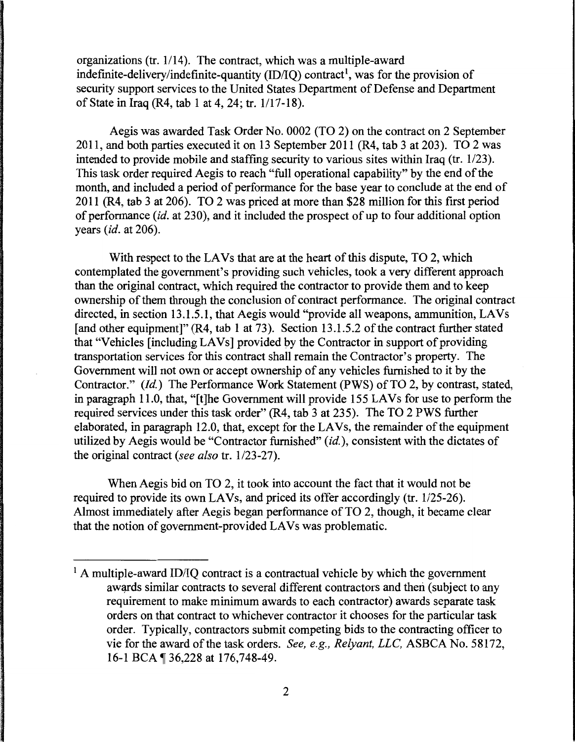organizations (tr. 1/14). The contract, which was a multiple-award indefinite-delivery/indefinite-quantity (ID/IQ) contract<sup>1</sup>, was for the provision of security support services to the United States Department of Defense and Department of State in Iraq (R4, tab 1 at 4, 24; tr. 1117-18).

Aegis was awarded Task Order No. 0002 (TO 2) on the contract on 2 September 2011, and both parties executed it on 13 September 2011 (R4, tab 3 at 203).  $\overline{TO}$  2 was intended to provide mobile and staffing security to various sites within Iraq (tr. 1/23). This task order required Aegis to reach "full operational capability" by the end of the month, and included a period of performance for the base year to conclude at the end of 2011 (R4, tab 3 at 206). TO 2 was priced at more than \$28 million for this first period of performance *(id.* at 230), and it included the prospect of up to four additional option years *(id.* at 206).

With respect to the LAVs that are at the heart of this dispute. TO 2, which contemplated the government's providing such vehicles, took a very different approach than the original contract, which required the contractor to provide them and to keep ownership of them through the conclusion of contract performance. The original contract directed, in section 13.1.5.1, that Aegis would "provide all weapons, ammunition, LAVs [and other equipment]" (R4, tab 1 at 73). Section 13.1.5.2 of the contract further stated that "Vehicles [including LA Vs] provided by the Contractor in support of providing transportation services for this contract shall remain the Contractor's property. The Government will not own or accept ownership of any vehicles furnished to it by the Contractor." *(Id.)* The Performance Work Statement (PWS) of TO 2, by contrast, stated, in paragraph 11.0, that, "[t]he Government will provide 155 LA Vs for use to perform the required services under this task order" (R4, tab 3 at 235). The TO 2 PWS further elaborated, in paragraph 12.0, that, except for the LA Vs, the remainder of the equipment utilized by Aegis would be "Contractor furnished" *(id.),* consistent with the dictates of the original contract *(see also* tr. 1/23-27).

When Aegis bid on TO 2, it took into account the fact that it would not be required to provide its own LAVs, and priced its offer accordingly (tr. 1/25-26). Almost immediately after Aegis began performance of TO 2, though, it became clear that the notion of government-provided LA Vs was problematic.

 $<sup>1</sup>$  A multiple-award ID/IO contract is a contractual vehicle by which the government</sup> awards similar contracts to several different contractors and then (subject to any requirement to make minimum awards to each contractor) awards separate task orders on that contract to whichever contractor it chooses for the particular task order. Typically, contractors submit competing bids to the contracting officer to vie for the award of the task orders. *See, e.g., Relyant, LLC,* ASBCA No. 58172, 16-1 BCA ¶ 36,228 at 176,748-49.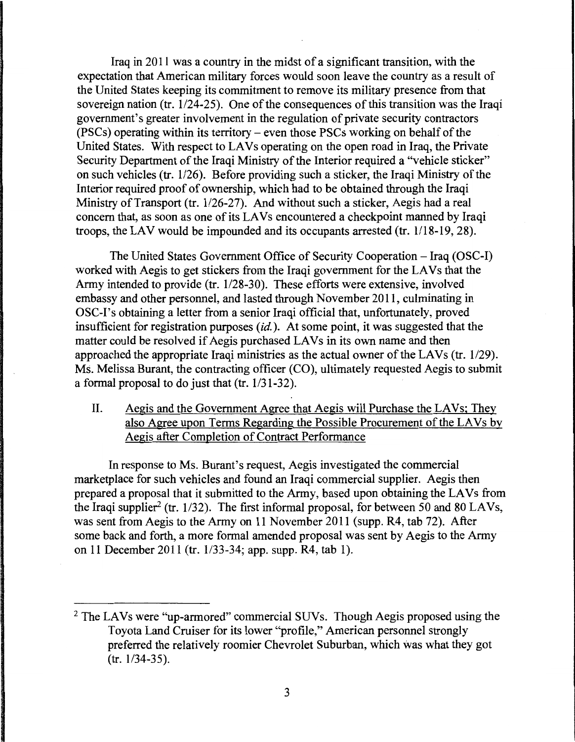Iraq in 2011 was a country in the midst of a significant transition, with the expectation that American military forces would soon leave the country as a result of the United States keeping its commitment to remove its military presence from that sovereign nation (tr.  $1/24-25$ ). One of the consequences of this transition was the Iraqi government's greater involvement in the regulation of private security contractors (PSCs) operating within its territory – even those PSCs working on behalf of the United States. With respect to LAVs operating on the open road in Iraq, the Private Security Department of the Iraqi Ministry of the Interior required a "vehicle sticker" on such vehicles (tr. 1/26). Before providing such a sticker, the Iraqi Ministry of the Interior required proof of ownership, which had to be obtained through the Iraqi Ministry of Transport (tr. 1/26-27). And without such a sticker, Aegis had a real concern that, as soon as one of its LAVs encountered a checkpoint manned by Iraqi troops, the LAV would be impounded and its occupants arrested (tr. 1/18-19, 28).

The United States Government Office of Security Cooperation - Iraq (OSC-1) worked with Aegis to get stickers from the Iraqi government for the LAVs that the Army intended to provide (tr. 1/28-30). These efforts were extensive, involved embassy and other personnel, and lasted through November 2011, culminating in OSC-I's obtaining a letter from a senior Iraqi official that, unfortunately, proved insufficient for registration purposes  $(id)$ . At some point, it was suggested that the matter could be resolved if Aegis purchased LAVs in its own name and then approached the appropriate Iraqi ministries as the actual owner of the LAVs (tr.  $1/29$ ). Ms. Melissa Burant, the contracting officer (CO), ultimately requested Aegis to submit a formal proposal to do just that  $(tr. 1/31-32)$ .

# II. Aegis and the Government Agree that Aegis will Purchase the LAVs; They also Agree upon Terms Regarding the Possible Procurement of the LA Vs by Aegis after Completion of Contract Performance

In response to Ms. Burant's request, Aegis investigated the commercial marketplace for such vehicles and found an Iraqi commercial supplier. Aegis then prepared a proposal that it submitted to the Army, based upon obtaining the LAVs from the Iraqi supplier<sup>2</sup> (tr. 1/32). The first informal proposal, for between 50 and 80 LAVs, was sent from Aegis to the Army on 11 November 2011 (supp. R4, tab 72). After some back and forth, a more formal amended proposal was sent by Aegis to the Army on 11 December 2011 (tr. 1/33-34; app. supp. R4, tab 1).

<sup>&</sup>lt;sup>2</sup> The LAVs were "up-armored" commercial SUVs. Though Aegis proposed using the Toyota Land Cruiser for its lower "profile," American personnel strongly preferred the relatively roomier Chevrolet Suburban, which was what they got (tr. 1/34-35).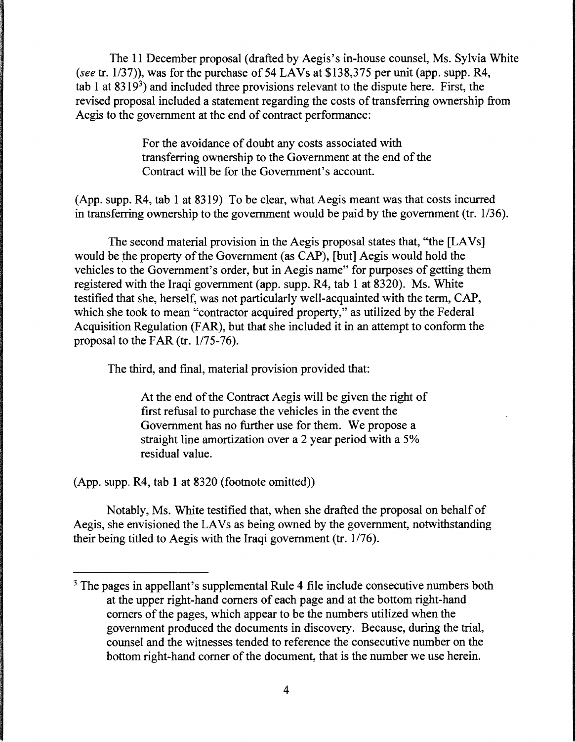The 11 December proposal (drafted by Aegis's in-house counsel, Ms. Sylvia White *(see tr. 1/37)), was for the purchase of 54 LAVs at \$138,375 per unit (app. supp. R4, \dogsiliestimeshingsiliestimeshingsiliestimeshingsiliestimeshingsiliestimeshingsiliestimeshingsiliestimeshingsiliestimeshingsiliestimes* tab 1 at  $8319<sup>3</sup>$ ) and included three provisions relevant to the dispute here. First, the revised proposal included a statement regarding the costs of transferring ownership from Aegis to the government at the end of contract performance:

> For the avoidance of doubt any costs associated with transferring ownership to the Government at the end of the Contract will be for the Government's account.

(App. supp. R4, tab 1 at 8319) To be clear, what Aegis meant was that costs incurred in transferring ownership to the government would be paid by the government (tr. 1/36).

The second material provision in the Aegis proposal states that, "the [LAVs] would be the property of the Government (as CAP), [but] Aegis would hold the vehicles to the Government's order, but in Aegis name" for purposes of getting them registered with the Iraqi government (app. supp. R4, tab 1 at 8320). Ms. White testified that she, herself, was not particularly well-acquainted with the term, CAP, which she took to mean "contractor acquired property," as utilized by the Federal Acquisition Regulation (FAR), but that she included it in an attempt to conform the proposal to the FAR (tr.  $1/75-76$ ).

The third, and final, material provision provided that:

At the end of the Contract Aegis will be given the right of first refusal to purchase the vehicles in the event the Government has no further use for them. We propose a straight line amortization over a 2 year period with a 5% residual value.

(App. supp. R4, tab 1 at 8320 (footnote omitted))

Notably, Ms. White testified that, when she drafted the proposal on behalf of Aegis, she envisioned the LAVs as being owned by the government, notwithstanding their being titled to Aegis with the Iraqi government (tr.  $1/76$ ).

<sup>&</sup>lt;sup>3</sup> The pages in appellant's supplemental Rule 4 file include consecutive numbers both at the upper right-hand comers of each page and at the bottom right-hand comers of the pages, which appear to be the numbers utilized when the government produced the documents in discovery. Because, during the trial, counsel and the witnesses tended to reference the consecutive number on the bottom right-hand comer of the document, that is the number we use herein.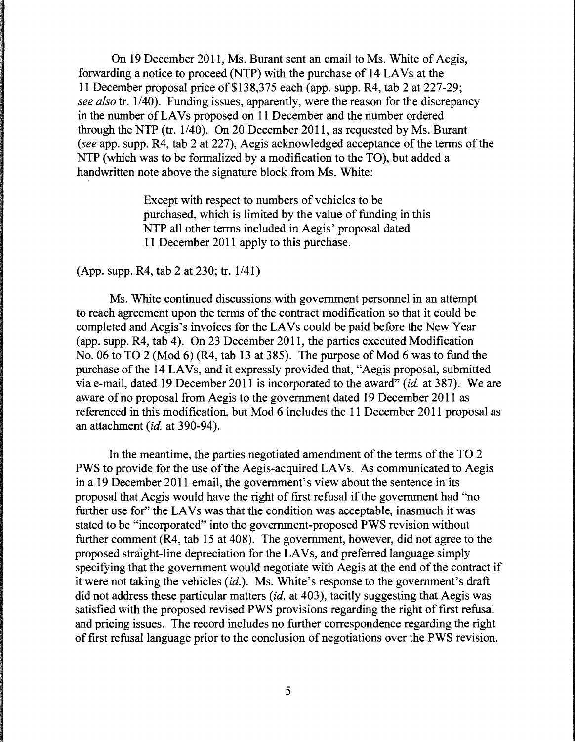On 19 December 2011, Ms. Burant sent an email to Ms. White of Aegis, forwarding a notice to proceed (NTP) with the purchase of 14 LAVs at the 11 December proposal price of \$138,375 each (app. supp. R4, tab 2 at 227-29; *see also* tr. 1/40). Funding issues, apparently, were the reason for the discrepancy in the number of LAVs proposed on 11 December and the number ordered through the NTP (tr. 1/40). On 20 December 2011, as requested by Ms. Burant *(see* app. supp. R4, tab 2 at 227), Aegis acknowledged acceptance of the terms of the NTP (which was to be formalized by a modification to the TO), but added a handwritten note above the signature block from Ms. White:

> Except with respect to numbers of vehicles to be purchased, which is limited by the value of funding in this NTP all other terms included in Aegis' proposal dated 11 December 2011 apply to this purchase.

(App. supp. R4, tab 2 at 230; tr. 1/41)

Ms. White continued discussions with government personnel in an attempt to reach agreement upon the terms of the contract modification so that it could be completed and Aegis's invoices for the LA Vs could be paid before the New Year (app. supp. R4, tab 4). On 23 December 2011, the parties executed Modification No. 06 to TO 2 (Mod 6) (R4, tab 13 at 385). The purpose of Mod 6 was to fund the purchase of the 14 LAVs, and it expressly provided that, "Aegis proposal, submitted via e-mail, dated 19 December 2011 is incorporated to the award" (id. at 387). We are aware of no proposal from Aegis to the government dated 19 December 2011 as referenced in this modification, but Mod 6 includes the 11 December 2011 proposal as an attachment *(id.* at 390-94).

In the meantime, the parties negotiated amendment of the terms of the TO 2 PWS to provide for the use of the Aegis-acquired LAVs. As communicated to Aegis in a 19 December 2011 email, the government's view about the sentence in its proposal that Aegis would have the right of first refusal if the government had "no further use for" the LAVs was that the condition was acceptable, inasmuch it was stated to be "incorporated" into the government-proposed PWS revision without further comment (R4, tab 15 at 408). The government, however, did not agree to the proposed straight-line depreciation for the LA Vs, and preferred language simply specifying that the government would negotiate with Aegis at the end of the contract if it were not taking the vehicles *(id.).* Ms. White's response to the government's draft did not address these particular matters *(id.* at 403), tacitly suggesting that Aegis was satisfied with the proposed revised PWS provisions regarding the right of first refusal and pricing issues. The record includes no further correspondence regarding the right of first refusal language prior to the conclusion of negotiations over the PWS revision.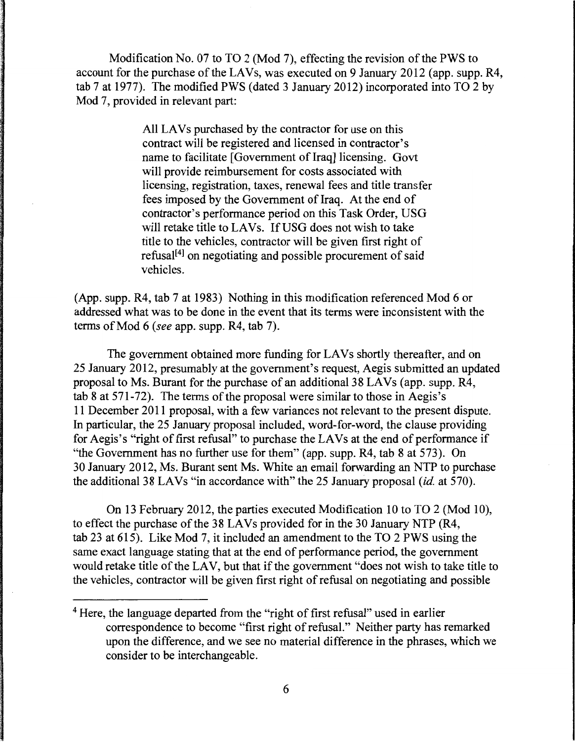Modification No. 07 to TO 2 (Mod 7), effecting the revision of the PWS to account for the purchase of the LA Vs, was executed on 9 January 2012 (app. supp. R4, tab 7 at 1977). The modified PWS (dated 3 January 2012) incorporated into TO 2 by Mod 7, provided in relevant part:

> All LAVs purchased by the contractor for use on this contract will be registered and licensed in contractor's name to facilitate [Government of Iraq] licensing. Govt will provide reimbursement for costs associated with licensing, registration, taxes, renewal fees and title transfer fees imposed by the Government of Iraq. At the end of contractor's performance period on this Task Order, USG will retake title to LAVs. If USG does not wish to take title to the vehicles, contractor will be given first right of refusal<sup>[4]</sup> on negotiating and possible procurement of said vehicles.

(App. supp. R4, tab 7 at 1983) Nothing in this modification referenced Mod 6 or addressed what was to be done in the event that its terms were inconsistent with the terms of Mod 6 *(see* app. supp. R4, tab 7).

The government obtained more funding for LA Vs shortly thereafter, and on 25 January 2012, presumably at the government's request, Aegis submitted an updated proposal to Ms. Burant for the purchase of an additional 38 LA Vs (app. supp. R4, tab 8 at 571-72). The terms of the proposal were similar to those in Aegis's 11 December 2011 proposal, with a few variances not relevant to the present dispute. In particular, the 25 January proposal included, word-for-word, the clause providing for Aegis's "right of first refusal" to purchase the LA Vs at the end of performance if "the Government has no further use for them" (app. supp. R4, tab 8 at 573). On 30 January 2012, Ms. Burant sent Ms. White an email forwarding an NTP to purchase the additional 38 LA Vs "in accordance with" the 25 January proposal *(id.* at 570).

On 13 February 2012, the parties executed Modification 10 to TO 2 (Mod 10), to effect the purchase of the 38 LA Vs provided for in the 30 January NTP (R4, tab 23 at 615). Like Mod 7, it included an amendment to the TO 2 PWS using the same exact language stating that at the end of performance period, the government would retake title of the LAV, but that if the government "does not wish to take title to the vehicles, contractor will be given first right of refusal on negotiating and possible

<sup>4</sup> Here, the language departed from the "right of first refusal" used in earlier correspondence to become "first right of refusal." Neither party has remarked upon the difference, and we see no material difference in the phrases, which we consider to be interchangeable.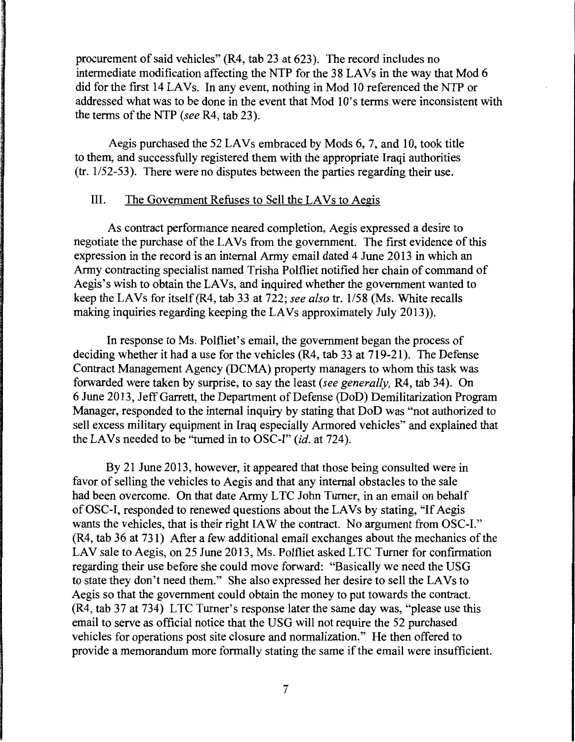procurement of said vehicles" (R4, tab 23 at 623). The record includes no intermediate modification affecting the NTP for the 38 LAVs in the way that Mod 6 did for the first 14 LAVs. In any event, nothing in Mod 10 referenced the NTP or addressed what was to be done in the event that Mod 10's terms were inconsistent with the terms of the NTP *(see* R4, tab 23).

Aegis purchased the 52 LA Vs embraced by Mods 6, 7, and 10, took title to them, and successfully registered them with the appropriate Iraqi authorities  $(tr. 1/52-53)$ . There were no disputes between the parties regarding their use.

### III. The Government Refuses to Sell the LAVs to Aegis

As contract performance neared completion, Aegis expressed a desire to negotiate the purchase of the LAVs from the government. The first evidence of this expression in the record is an internal Army email dated 4 June 2013 in which an Army contracting specialist named Trisha Polfliet notified her chain of command of Aegis's wish to obtain the LAVs, and inquired whether the government wanted to keep the LAVs for itself (R4, tab 33 at 722; *see also* tr. 1/58 (Ms. White recalls making inquiries regarding keeping the LA Vs approximately July 2013)).

In response to Ms. Polfliet's email, the government began the process of deciding whether it had a use for the vehicles (R4, tab 33 at 719-21). The Defense Contract Management Agency (DCMA) property managers to whom this task was forwarded were taken by surprise, to say the least *(see generally,* R4, tab 34). On 6 June 2013, Jeff Garrett, the Department of Defense (DoD) Demilitarization Program Manager, responded to the internal inquiry by stating that DoD was "not authorized to sell excess military equipment in Iraq especially Armored vehicles" and explained that the LA Vs needed to be "turned in to OSC-I" *(id.* at 724).

By 21 June 2013, however, it appeared that those being consulted were in favor of selling the vehicles to Aegis and that any internal obstacles to the sale had been overcome. On that date Army LTC John Turner, in an email on behalf of OSC-1, responded to renewed questions about the LA Vs by stating, "If Aegis wants the vehicles, that is their right IAW the contract. No argument from OSC-I." (R4, tab 36 at 731) After a few additional email exchanges about the mechanics of the LAV sale to Aegis, on 25 June 2013, Ms. Polfliet asked LTC Turner for confirmation regarding their use before she could move forward: "Basically we need the USG to state they don't need them." She also expressed her desire to sell the LA Vs to Aegis so that the government could obtain the money to put towards the contract. (R4, tab 37 at 734) LTC Turner's response later the same day was, "please use this email to serve as official notice that the USG will not require the 52 purchased vehicles for operations post site closure and normalization." He then offered to provide a memorandum more formally stating the same if the email were insufficient.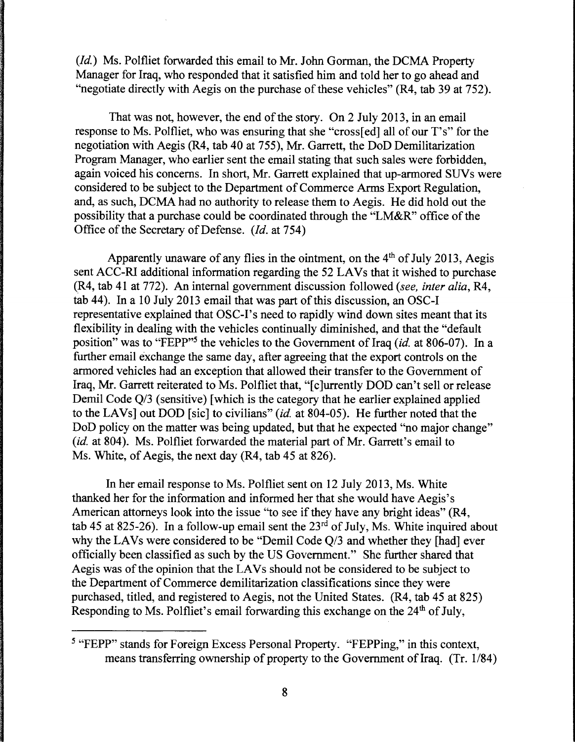*(Id.)* Ms. Polfliet forwarded this email to Mr. John Gorman, the DCMA Property Manager for Iraq, who responded that it satisfied him and told her to go ahead and "negotiate directly with Aegis on the purchase of these vehicles" (R4, tab 39 at 752).

That was not, however, the end of the story. On 2 July 2013, in an email response to Ms. Polfliet, who was ensuring that she "cross[ed] all of our T's" for the negotiation with Aegis (R4, tab 40 at 755), Mr. Garrett, the DoD Demilitarization Program Manager, who earlier sent the email stating that such sales were forbidden, again voiced his concerns. In short, Mr. Garrett explained that up-armored SUVs were considered to be subject to the Department of Commerce Arms Export Regulation, and, as such, DCMA had no authority to release them to Aegis. He did hold out the possibility that a purchase could be coordinated through the "LM&R" office of the Office of the Secretary of Defense. *(Id.* at 754)

Apparently unaware of any flies in the ointment, on the  $4<sup>th</sup>$  of July 2013, Aegis sent ACC-RI additional information regarding the 52 LA Vs that it wished to purchase (R4, tab 41 at 772). An internal government discussion followed *(see, inter alia,* R4, tab 44). In a 10 July 2013 email that was part of this discussion, an OSC-I representative explained that OSC-I's need to rapidly wind down sites meant that its flexibility in dealing with the vehicles continually diminished, and that the "default" position" was to "FEPP"5 the vehicles to the Government of Iraq *(id.* at 806-07). In a further email exchange the same day, after agreeing that the export controls on the armored vehicles had an exception that allowed their transfer to the Government of Iraq, Mr. Garrett reiterated to Ms. Polfliet that, "[c]urrently DOD can't sell or release Demil Code Q/3 (sensitive) [which is the category that he earlier explained applied to the LA Vs] out DOD [sic] to civilians" *(id.* at 804-05). He further noted that the DoD policy on the matter was being updated, but that he expected "no major change" *(id. at 804).* Ms. Polfliet forwarded the material part of Mr. Garrett's email to Ms. White, of Aegis, the next day (R4, tab 45 at 826).

In her email response to Ms. Polfliet sent on 12 July 2013, Ms. White thanked her for the information and informed her that she would have Aegis's American attorneys look into the issue "to see if they have any bright ideas" (R4, tab 45 at 825-26). In a follow-up email sent the  $23<sup>rd</sup>$  of July, Ms. White inquired about why the LAVs were considered to be "Demil Code Q/3 and whether they [had] ever officially been classified as such by the US Government." She further shared that Aegis was of the opinion that the LA Vs should not be considered to be subject to the Department of Commerce demilitarization classifications since they were purchased, titled, and registered to Aegis, not the United States. (R4, tab 45 at 825) Responding to Ms. Polfliet's email forwarding this exchange on the  $24<sup>th</sup>$  of July,

*<sup>5</sup>*"FEPP" stands for Foreign Excess Personal Property. "FEPPing," in this context, means transferring ownership of property to the Government of Iraq. (Tr. 1/84)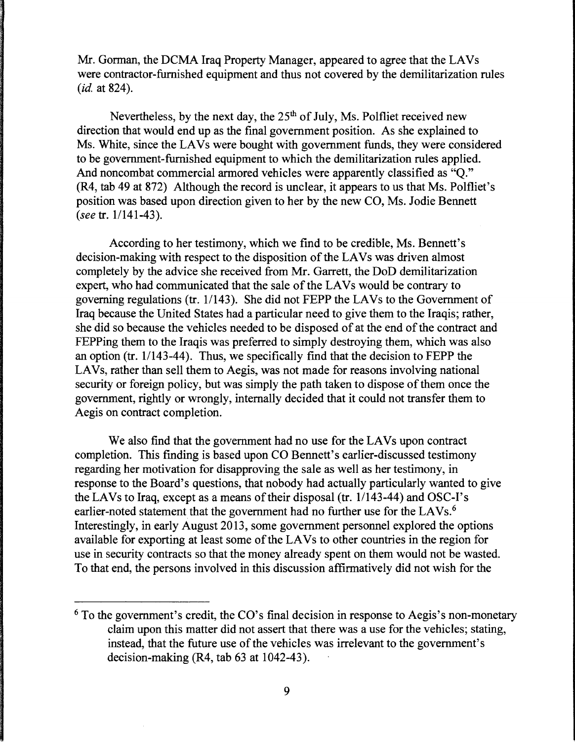Mr. Gorman, the DCMA Iraq Property Manager, appeared to agree that the LAVs were contractor-furnished equipment and thus not covered by the demilitarization rules *(id. at 824).* 

Nevertheless, by the next day, the  $25<sup>th</sup>$  of July, Ms. Polfliet received new direction that would end up as the final government position. As she explained to Ms. White, since the LAVs were bought with government funds, they were considered to be government-furnished equipment to which the demilitarization rules applied. And noncombat commercial armored vehicles were apparently classified as "Q." (R4, tab 49 at 872) Although the record is unclear, it appears to us that Ms. Polfliet's position was based upon direction given to her by the new CO, Ms. Jodie Bennett *(see tr. 1/141-43).* 

According to her testimony, which we find to be credible, Ms. Bennett's decision-making with respect to the disposition of the LAVs was driven almost completely by the advice she received from Mr. Garrett, the DoD demilitarization expert, who had communicated that the sale of the LAVs would be contrary to governing regulations (tr.  $1/143$ ). She did not FEPP the LAVs to the Government of Iraq because the United States had a particular need to give them to the Iraqis; rather, she did so because the vehicles needed to be disposed of at the end of the contract and FEPPing them to the Iraqis was preferred to simply destroying them, which was also an option (tr.  $1/143-44$ ). Thus, we specifically find that the decision to FEPP the LAVs, rather than sell them to Aegis, was not made for reasons involving national security or foreign policy, but was simply the path taken to dispose of them once the government, rightly or wrongly, internally decided that it could not transfer them to Aegis on contract completion.

We also find that the government had no use for the LAVs upon contract completion. This finding is based upon CO Bennett's earlier-discussed testimony regarding her motivation for disapproving the sale as well as her testimony, in response to the Board's questions, that nobody had actually particularly wanted to give the LAVs to Iraq, except as a means of their disposal (tr. 1/143-44) and OSC-I's earlier-noted statement that the government had no further use for the LAVs.<sup>6</sup> Interestingly, in early August 2013, some government personnel explored the options available for exporting at least some of the LAVs to other countries in the region for use in security contracts so that the money already spent on them would not be wasted. To that end, the persons involved in this discussion affirmatively did not wish for the

 $6$  To the government's credit, the CO's final decision in response to Aegis's non-monetary claim upon this matter did not assert that there was a use for the vehicles; stating, instead, that the future use of the vehicles was irrelevant to the government's decision-making (R4, tab 63 at 1042-43).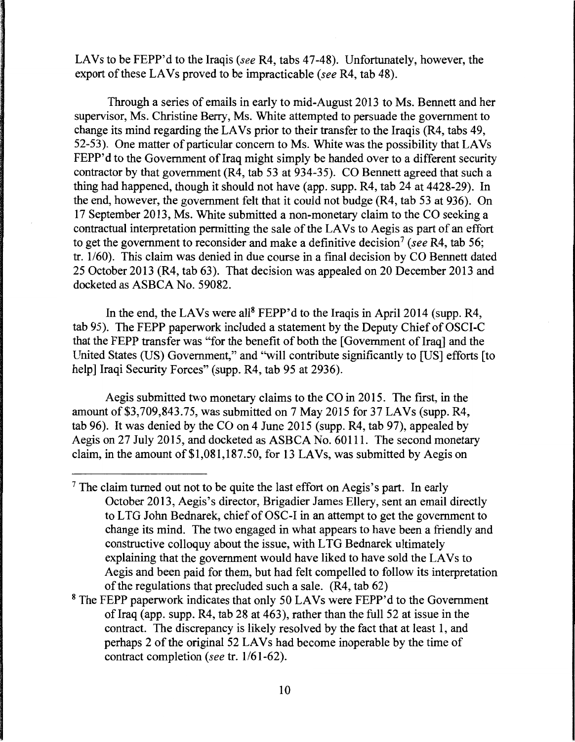LAVs to be FEPP'd to the Iraqis (see R4, tabs 47-48). Unfortunately, however, the export of these LAVs proved to be impracticable (see R4, tab 48).

Through a series of emails in early to mid-August 2013 to Ms. Bennett and her supervisor, Ms. Christine Berry, Ms. White attempted to persuade the government to change its mind regarding the LA Vs prior to their transfer to the Iraqis (R4, tabs 49, 52-53). One matter of particular concern to Ms. White was the possibility that LAVs FEPP'd to the Government of Iraq might simply be handed over to a different security contractor by that government (R4, tab 53 at 934-35). CO Bennett agreed that such a thing had happened, though it should not have (app. supp. R4, tab 24 at 4428-29). In the end, however, the government felt that it could not budge (R4, tab 53 at 936). On 17 September 2013, Ms. White submitted a non-monetary claim to the CO seeking a contractual interpretation permitting the sale of the LAVs to Aegis as part of an effort to get the government to reconsider and make a definitive decision<sup>7</sup> (see R4, tab 56; tr. 1/60). This claim was denied in due course in a final decision by CO Bennett dated 25 October 2013 (R4, tab 63). That decision was appealed on 20 December 2013 and docketed as ASBCA No. 59082.

In the end, the LAVs were all<sup>8</sup> FEPP'd to the Iraqis in April 2014 (supp. R4, tab 95). The FEPP paperwork included a statement by the Deputy Chief of OSCI-C that the FEPP transfer was "for the benefit of both the [Government of Iraq] and the United States (US) Government," and ''will contribute significantly to [US] efforts [to help] Iraqi Security Forces" (supp. R4, tab 95 at 2936).

Aegis submitted two monetary claims to the CO in 2015. The first, in the amount of \$3,709,843.75, was submitted on 7 May 2015 for 37 LAVs (supp. R4, tab 96). It was denied by the CO on 4 June 2015 (supp. R4, tab 97), appealed by Aegis on 27 July 2015, and docketed as ASBCA No. 60111. The second monetary claim, in the amount of\$1,081,187.50, for 13 LA Vs, was submitted by Aegis on

 $<sup>7</sup>$  The claim turned out not to be quite the last effort on Aegis's part. In early</sup> October 2013, Aegis's director, Brigadier James Ellery, sent an email directly to L TG John Bednarek, chief of OSC-I in an attempt to get the government to change its mind. The two engaged in what appears to have been a friendly and constructive colloquy about the issue, with L TG Bednarek ultimately explaining that the government would have liked to have sold the LAVs to Aegis and been paid for them, but had felt compelled to follow its interpretation of the regulations that precluded such a sale. (R4, tab 62)

<sup>&</sup>lt;sup>8</sup> The FEPP paperwork indicates that only 50 LAVs were FEPP'd to the Government of Iraq (app. supp. R4, tab 28 at 463), rather than the full 52 at issue in the contract. The discrepancy is likely resolved by the fact that at least 1, and perhaps 2 of the original 52 LA Vs had become inoperable by the time of contract completion (see tr. 1/61-62).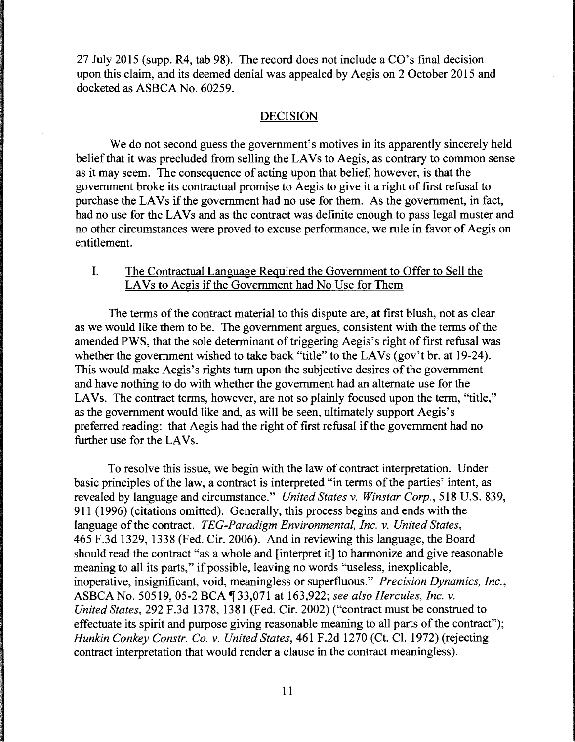27 July 2015 (supp. R4, tab 98). The record does not include a CO's final decision upon this claim, and its deemed denial was appealed by Aegis on 2 October 2015 and docketed as ASBCA No. 60259.

#### DECISION

We do not second guess the government's motives in its apparently sincerely held belief that it was precluded from selling the LAVs to Aegis, as contrary to common sense as it may seem. The consequence of acting upon that belief, however, is that the government broke its contractual promise to Aegis to give it a right of first refusal to purchase the LAVs if the government had no use for them. As the government, in fact, had no use for the LAVs and as the contract was definite enough to pass legal muster and no other circumstances were proved to excuse performance, we rule in favor of Aegis on entitlement.

### I. The Contractual Language Required the Government to Offer to Sell the LAVs to Aegis if the Government had No Use for Them

The terms of the contract material to this dispute are, at first blush, not as clear as we would like them to be. The government argues, consistent with the terms of the amended PWS, that the sole determinant of triggering Aegis's right of first refusal was whether the government wished to take back "title" to the LAVs (gov't br. at 19-24). This would make Aegis's rights tum upon the subjective desires of the government and have nothing to do with whether the government had an alternate use for the LAVs. The contract terms, however, are not so plainly focused upon the term, "title," as the government would like and, as will be seen, ultimately support Aegis's preferred reading: that Aegis had the right of first refusal if the government had no further use for the LAVs.

To resolve this issue, we begin with the law of contract interpretation. Under basic principles of the law, a contract is interpreted "in terms of the parties' intent, as revealed by language and circumstance." *United States v. Winstar Corp.,* 518 U.S. 839, 911 (1996) (citations omitted). Generally, this process begins and ends with the language of the contract. *TEG-Paradigm Environmental, Inc. v. United States,*  465 F.3d 1329, 1338 (Fed. Cir. 2006). And in reviewing this language, the Board should read the contract "as a whole and [interpret it] to harmonize and give reasonable meaning to all its parts," if possible, leaving no words "useless, inexplicable, inoperative, insignificant, void, meaningless or superfluous." *Precision Dynamics, Inc.,*  ASBCA No. 50519, 05-2 BCA [33,071 at 163,922; see also Hercules, Inc. v. *United States,* 292 F.3d 1378, 1381 (Fed. Cir. 2002) ("contract must be construed to effectuate its spirit and purpose giving reasonable meaning to all parts of the contract"); *Hunkin Conkey Constr. Co. v. United States,* 461F.2d1270 (Ct. Cl. 1972) (rejecting contract interpretation that would render a clause in the contract meaningless).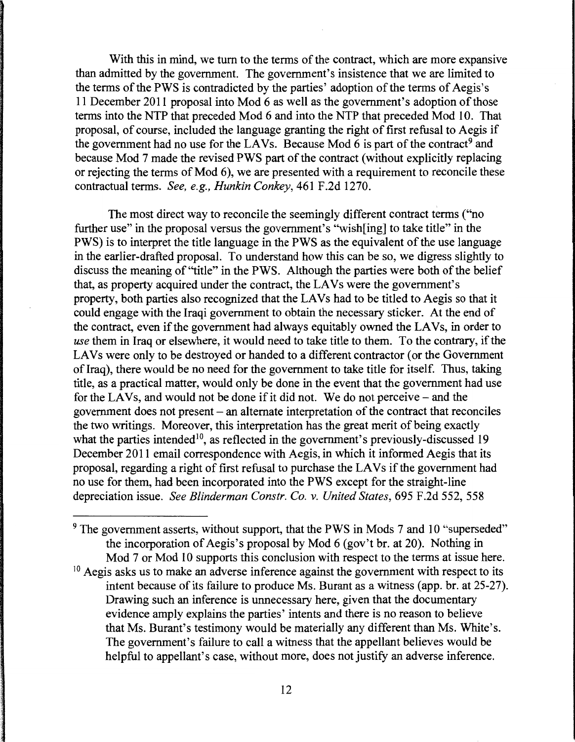With this in mind, we turn to the terms of the contract, which are more expansive than admitted by the government. The government's insistence that we are limited to the terms of the PWS is contradicted by the parties' adoption of the terms of Aegis's 11 December 2011 proposal into Mod 6 as well as the government's adoption of those terms into the NTP that preceded Mod 6 and into the NTP that preceded Mod 10. That proposal, of course, included the language granting the right of first refusal to Aegis if the government had no use for the LAVs. Because Mod  $\tilde{6}$  is part of the contract<sup>9</sup> and because Mod 7 made the revised PWS part of the contract (without explicitly replacing or rejecting the terms of Mod 6), we are presented with a requirement to reconcile these contractual terms. *See, e.g., Hunkin Conkey,* 461F.2d1270.

The most direct way to reconcile the seemingly different contract terms ("no further use" in the proposal versus the government's "wish[ing] to take title" in the PWS) is to interpret the title language in the PWS as the equivalent of the use language in the earlier-drafted proposal. To understand how this can be so, we digress slightly to discuss the meaning of "title" in the PWS. Although the parties were both of the belief that, as property acquired under the contract, the LAVs were the government's property, both parties also recognized that the LA Vs had to be titled to Aegis so that it could engage with the Iraqi government to obtain the necessary sticker. At the end of the contract, even if the government had always equitably owned the LAVs, in order to *use* them in Iraq or elsewhere, it would need to take title to them. To the contrary, if the LAVs were only to be destroyed or handed to a different contractor (or the Government of Iraq), there would be no need for the government to take title for itself. Thus, taking title, as a practical matter, would only be done in the event that the government had use for the LAVs, and would not be done if it did not. We do not perceive  $-$  and the government does not present  $-$  an alternate interpretation of the contract that reconciles the two writings. Moreover, this interpretation has the great merit of being exactly what the parties intended<sup>10</sup>, as reflected in the government's previously-discussed 19 December 2011 email correspondence with Aegis, in which it informed Aegis that its proposal, regarding a right of first refusal to purchase the LAVs if the government had no use for them, had been incorporated into the PWS except for the straight-line depreciation issue. *See Blinderman Constr. Co. v. United States,* 695 F.2d 552, 558

 $9$  The government asserts, without support, that the PWS in Mods 7 and 10 "superseded" the incorporation of Aegis's proposal by Mod 6 (gov't hr. at 20). Nothing in Mod 7 or Mod 10 supports this conclusion with respect to the terms at issue here.

 $10$  Aegis asks us to make an adverse inference against the government with respect to its intent because of its failure to produce Ms. Burant as a witness (app. br. at 25-27). Drawing such an inference is unnecessary here, given that the documentary evidence amply explains the parties' intents and there is no reason to believe that Ms. Burant's testimony would be materially any different than Ms. White's. The government's failure to call a witness that the appellant believes would be helpful to appellant's case, without more, does not justify an adverse inference.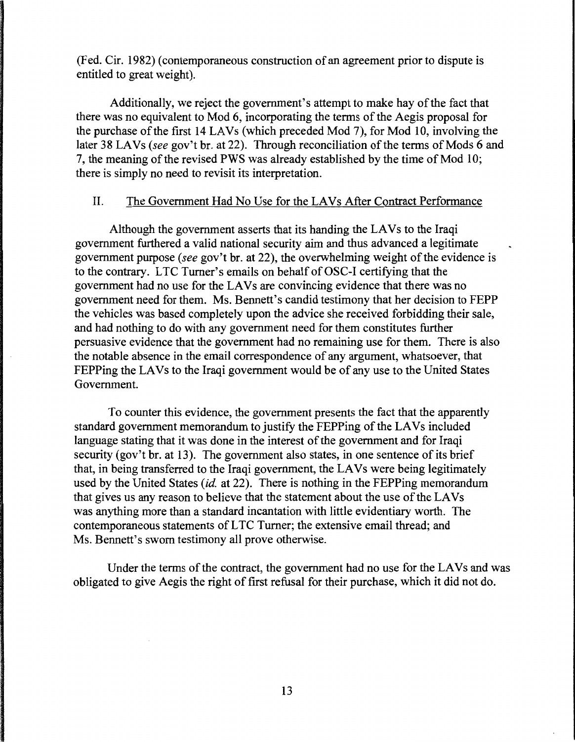(Fed. Cir. 1982) (contemporaneous construction of an agreement prior to dispute is entitled to great weight).

Additionally, we reject the government's attempt to make hay of the fact that there was no equivalent to Mod 6, incorporating the terms of the Aegis proposal for the purchase of the first 14 LA Vs (which preceded Mod 7), for Mod 10, involving the later 38 LAVs (see gov't br. at 22). Through reconciliation of the terms of Mods 6 and 7, the meaning of the revised PWS was already established by the time of Mod 10; there is simply no need to revisit its interpretation.

### II. The Government Had No Use for the LA Vs After Contract Performance

Although the government asserts that its handing the LAVs to the Iraqi government furthered a valid national security aim and thus advanced a legitimate government purpose (see gov't br. at 22), the overwhelming weight of the evidence is to the contrary. L TC Turner's emails on behalf of OSC-I certifying that the government had no use for the LAVs are convincing evidence that there was no government need for them. Ms. Bennett's candid testimony that her decision to FEPP the vehicles was based completely upon the advice she received forbidding their sale, and had nothing to do with any government need for them constitutes further persuasive evidence that the government had no remaining use for them. There is also the notable absence in the email correspondence of any argument, whatsoever, that FEPPing the LAVs to the Iraqi government would be of any use to the United States Government.

To counter this evidence, the government presents the fact that the apparently standard government memorandum to justify the FEPPing of the LAVs included language stating that it was done in the interest of the government and for Iraqi security (gov't br. at 13). The government also states, in one sentence of its brief that, in being transferred to the Iraqi government, the LA Vs were being legitimately used by the United States *(id.* at 22). There is nothing in the FEPPing memorandum that gives us any reason to believe that the statement about the use of the LAVs was anything more than a standard incantation with little evidentiary worth. The contemporaneous statements of LTC Turner; the extensive email thread: and Ms. Bennett's sworn testimony all prove otherwise.

Under the terms of the contract, the government had no use for the LAVs and was obligated to give Aegis the right of first refusal for their purchase, which it did not do.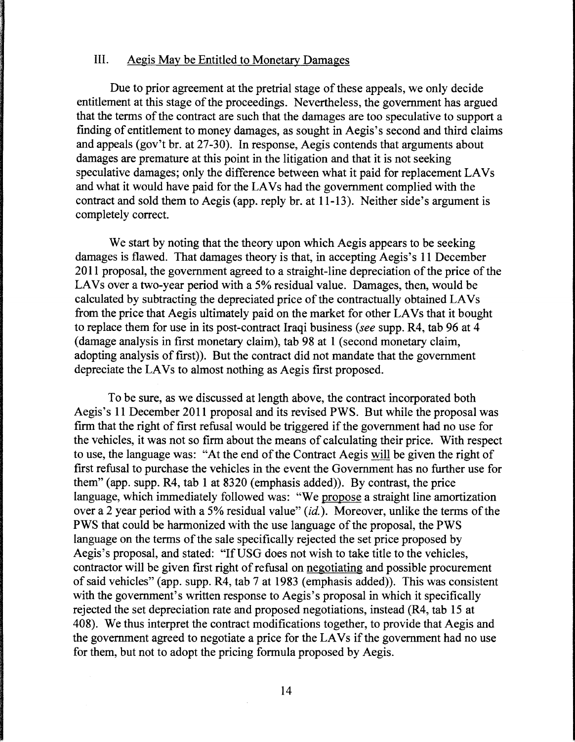### III. Aegis May be Entitled to Monetary Damages

Due to prior agreement at the pretrial stage of these appeals, we only decide entitlement at this stage of the proceedings. Nevertheless, the government has argued that the terms of the contract are such that the damages are too speculative to support a finding of entitlement to money damages, as sought in Aegis's second and third claims and appeals (gov't hr. at 27-30). In response, Aegis contends that arguments about damages are premature at this point in the litigation and that it is not seeking speculative damages; only the difference between what it paid for replacement LA Vs and what it would have paid for the LAVs had the government complied with the contract and sold them to Aegis (app. reply hr. at 11-13). Neither side's argument is completely correct.

We start by noting that the theory upon which Aegis appears to be seeking damages is flawed. That damages theory is that, in accepting Aegis's 11 December 2011 proposal, the government agreed to a straight-line depreciation of the price of the LAVs over a two-year period with a 5% residual value. Damages, then, would be calculated by subtracting the depreciated price of the contractually obtained LAVs from the price that Aegis ultimately paid on the market for other LAVs that it bought to replace them for use in its post-contract Iraqi business *(see* supp. R4, tab 96 at 4 (damage analysis in first monetary claim), tab 98 at 1 (second monetary claim, adopting analysis of first)). But the contract did not mandate that the government depreciate the LAVs to almost nothing as Aegis first proposed.

To be sure, as we discussed at length above, the contract incorporated both Aegis's 11December2011 proposal and its revised PWS. But while the proposal was firm that the right of first refusal would be triggered if the government had no use for the vehicles, it was not so firm about the means of calculating their price. With respect to use, the language was: "At the end of the Contract Aegis will be given the right of first refusal to purchase the vehicles in the event the Government has no further use for them" (app. supp. R4, tab 1 at 8320 (emphasis added)). By contrast, the price language, which immediately followed was: "We propose a straight line amortization over a 2 year period with a 5% residual value" *(id.).* Moreover, unlike the terms of the PWS that could be harmonized with the use language of the proposal, the PWS language on the terms of the sale specifically rejected the set price proposed by Aegis's proposal, and stated: "If USG does not wish to take title to the vehicles, contractor will be given first right of refusal on negotiating and possible procurement of said vehicles" (app. supp. R4, tab 7 at 1983 (emphasis added)). This was consistent with the government's written response to Aegis's proposal in which it specifically rejected the set depreciation rate and proposed negotiations, instead (R4, tab 15 at 408). We thus interpret the contract modifications together, to provide that Aegis and the government agreed to negotiate a price for the LAVs if the government had no use for them, but not to adopt the pricing formula proposed by Aegis.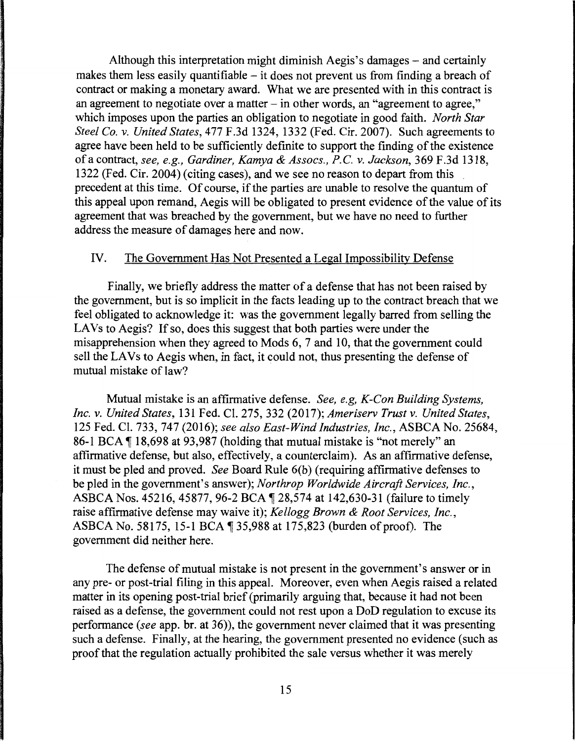Although this interpretation might diminish Aegis's damages – and certainly makes them less easily quantifiable  $-$  it does not prevent us from finding a breach of contract or making a monetary award. What we are presented with in this contract is an agreement to negotiate over a matter- in other words, an "agreement to agree," which imposes upon the parties an obligation to negotiate in good faith. *North Star Steel Co. v. United States,* 477 F.3d 1324, 1332 (Fed. Cir. 2007). Such agreements to agree have been held to be sufficiently definite to support the finding of the existence of a contract, *see, e.g., Gardiner, Kamya* & *Assocs., P.C. v. Jackson,* 369 F.3d 1318, 1322 (Fed. Cir. 2004) (citing cases), and we see no reason to depart from this precedent at this time. Of course, if the parties are unable to resolve the quantum of this appeal upon remand, Aegis will be obligated to present evidence of the value of its agreement that was breached by the government, but we have no need to further address the measure of damages here and now.

### IV. The Government Has Not Presented a Legal Impossibility Defense

Finally, we briefly address the matter of a defense that has not been raised by the government, but is so implicit in the facts leading up to the contract breach that we feel obligated to acknowledge it: was the government legally barred from selling the LAVs to Aegis? If so, does this suggest that both parties were under the misapprehension when they agreed to Mods 6, 7 and 10, that the government could sell the LAVs to Aegis when, in fact, it could not, thus presenting the defense of mutual mistake of law?

Mutual mistake is an affirmative defense. *See, e.g, K-Con Building Systems, Inc. v. United States,* 131 Fed. Cl. 275, 332 (2017); *Ameriserv Trust v. United States,*  125 Fed. Cl. 733, 747 (2016); *see also East-Wind Industries, Inc.,* ASBCA No. 25684, 86-1 BCA  $\P$  18,698 at 93,987 (holding that mutual mistake is "not merely" an affirmative defense, but also, effectively, a counterclaim). As an affirmative defense, it must be pied and proved. *See* Board Rule 6(b) (requiring affirmative defenses to be pied in the government's answer); *Northrop Worldwide Aircraft Services, Inc.,*  ASBCA Nos. 45216, 45877, 96-2 BCA ¶ 28,574 at 142,630-31 (failure to timely raise affirmative defense may waive it); *Kellogg Brown & Root Services, Inc.,*  ASBCA No. 58175, 15-1 BCA  $\P$  35,988 at 175,823 (burden of proof). The government did neither here.

The defense of mutual mistake is not present in the government's answer or in any pre- or post-trial filing in this appeal. Moreover, even when Aegis raised a related matter in its opening post-trial brief (primarily arguing that, because it had not been raised as a defense, the government could not rest upon a DoD regulation to excuse its performance *(see* app. br. at 36)), the government never claimed that it was presenting such a defense. Finally, at the hearing, the government presented no evidence (such as proof that the regulation actually prohibited the sale versus whether it was merely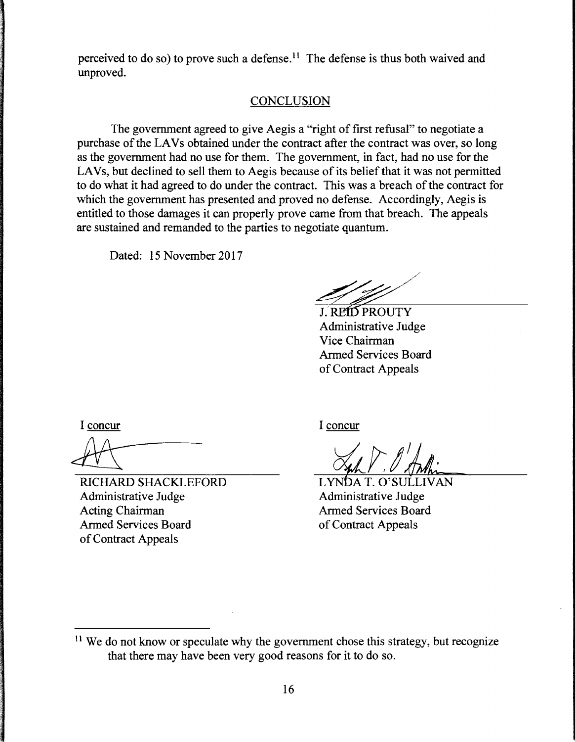perceived to do so) to prove such a defense. 11 The defense is thus both waived and unproved.

## **CONCLUSION**

The government agreed to give Aegis a "right of first refusal" to negotiate a purchase of the LAVs obtained under the contract after the contract was over, so long as the government had no use for them. The government, in fact, had no use for the LAVs, but declined to sell them to Aegis because of its belief that it was not permitted to do what it had agreed to do under the contract. This was a breach of the contract for which the government has presented and proved no defense. Accordingly, Aegis is entitled to those damages it can properly prove came from that breach. The appeals are sustained and remanded to the parties to negotiate quantum.

Dated: 15 November 2017

**J. REID PROUTY** Administrative Judge Vice Chairman Armed Services Board of Contract Appeals

I concur

RICHARD SHACKLEFORD Administrative Judge Acting Chairman Armed Services Board of Contract Appeals

I concur

LYNDA T. O'SULLIVAN Administrative Judge **Armed Services Board** of Contract Appeals

 $11$  We do not know or speculate why the government chose this strategy, but recognize that there may have been very good reasons for it to do so.